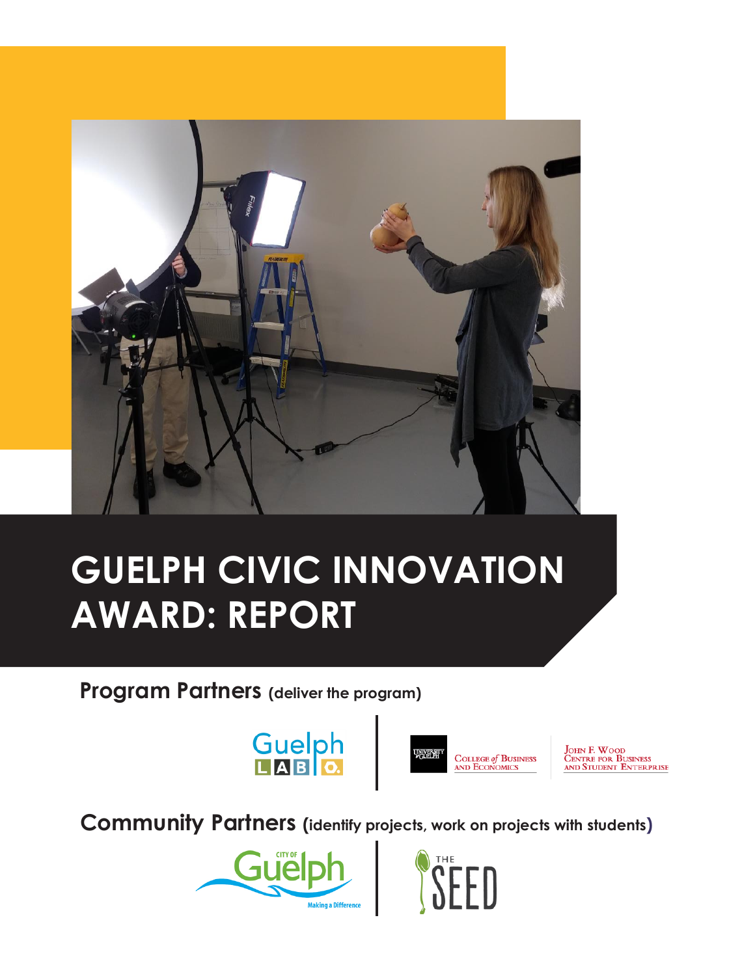

## **GUELPH CIVIC INNOVATION AWARD: REPORT**

**Program Partners (deliver the program)**





**JOHN F. WOOD**<br>CENTRE FOR BUSINESS AND STUDENT ENTERPRISE

**Community Partners (identify projects, work on projects with students)**



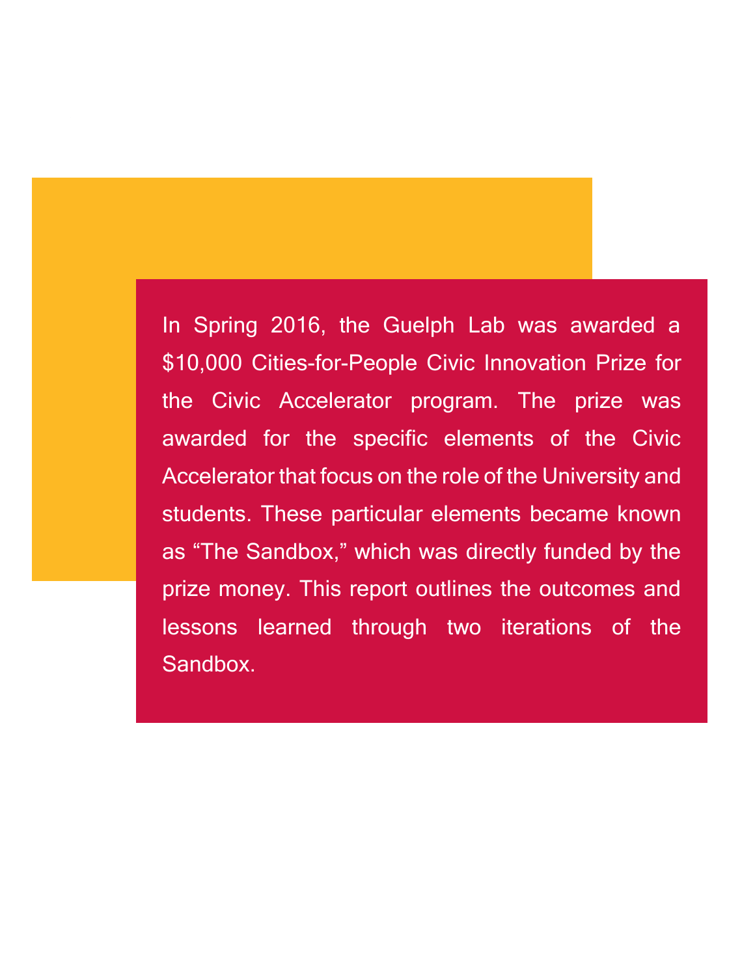In Spring 2016, the Guelph Lab was awarded a \$10,000 Cities-for-People Civic Innovation Prize for the Civic Accelerator program. The prize was awarded for the specific elements of the Civic Accelerator that focus on the role of the University and students. These particular elements became known as "The Sandbox," which was directly funded by the prize money. This report outlines the outcomes and lessons learned through two iterations of the Sandbox.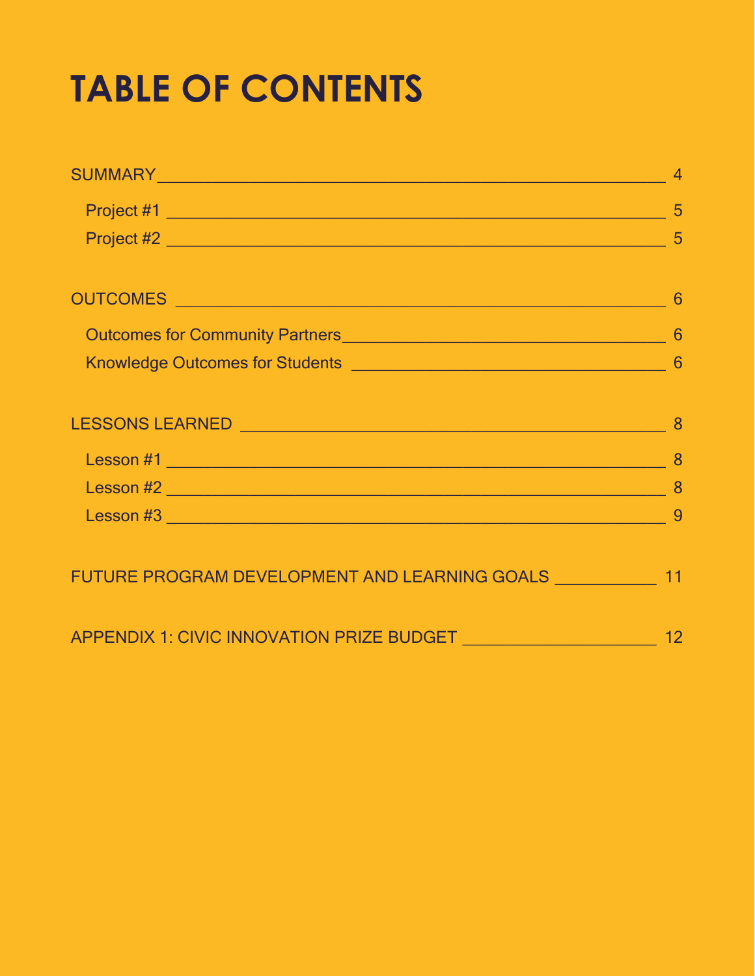# **TABLE OF CONTENTS**

| SUMMARY Processes and the contract of the contract of the contract of the contract of the contract of the contract of the contract of the contract of the contract of the contract of the contract of the contract of the cont |    |
|--------------------------------------------------------------------------------------------------------------------------------------------------------------------------------------------------------------------------------|----|
|                                                                                                                                                                                                                                |    |
|                                                                                                                                                                                                                                |    |
| OUTCOMES 6                                                                                                                                                                                                                     |    |
|                                                                                                                                                                                                                                |    |
|                                                                                                                                                                                                                                |    |
|                                                                                                                                                                                                                                |    |
|                                                                                                                                                                                                                                |    |
|                                                                                                                                                                                                                                |    |
|                                                                                                                                                                                                                                |    |
|                                                                                                                                                                                                                                |    |
|                                                                                                                                                                                                                                |    |
|                                                                                                                                                                                                                                |    |
| FUTURE PROGRAM DEVELOPMENT AND LEARNING GOALS _____________ 11                                                                                                                                                                 |    |
|                                                                                                                                                                                                                                |    |
|                                                                                                                                                                                                                                | 12 |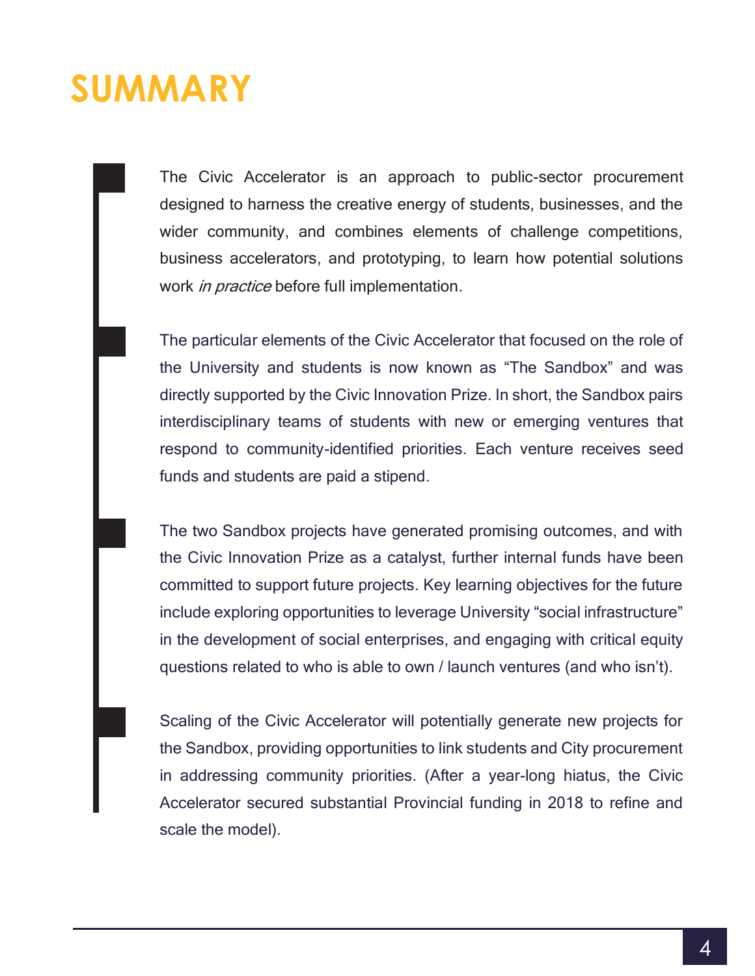### <span id="page-3-0"></span>**SUMMARY**

The Civic Accelerator is an approach to public-sector procurement designed to harness the creative energy of students, businesses, and the wider community, and combines elements of challenge competitions, business accelerators, and prototyping, to learn how potential solutions work *in practice* before full implementation.

The particular elements of the Civic Accelerator that focused on the role of the University and students is now known as "The Sandbox" and was directly supported by the Civic Innovation Prize. In short, the Sandbox pairs interdisciplinary teams of students with new or emerging ventures that respond to community-identified priorities. Each venture receives seed funds and students are paid a stipend.

The two Sandbox projects have generated promising outcomes, and with the Civic Innovation Prize as a catalyst, further internal funds have been committed to support future projects. Key learning objectives for the future include exploring opportunities to leverage University "social infrastructure" in the development of social enterprises, and engaging with critical equity questions related to who is able to own / launch ventures (and who isn't).

Scaling of the Civic Accelerator will potentially generate new projects for the Sandbox, providing opportunities to link students and City procurement in addressing community priorities. (After a year-long hiatus, the Civic Accelerator secured substantial Provincial funding in 2018 to refine and scale the model).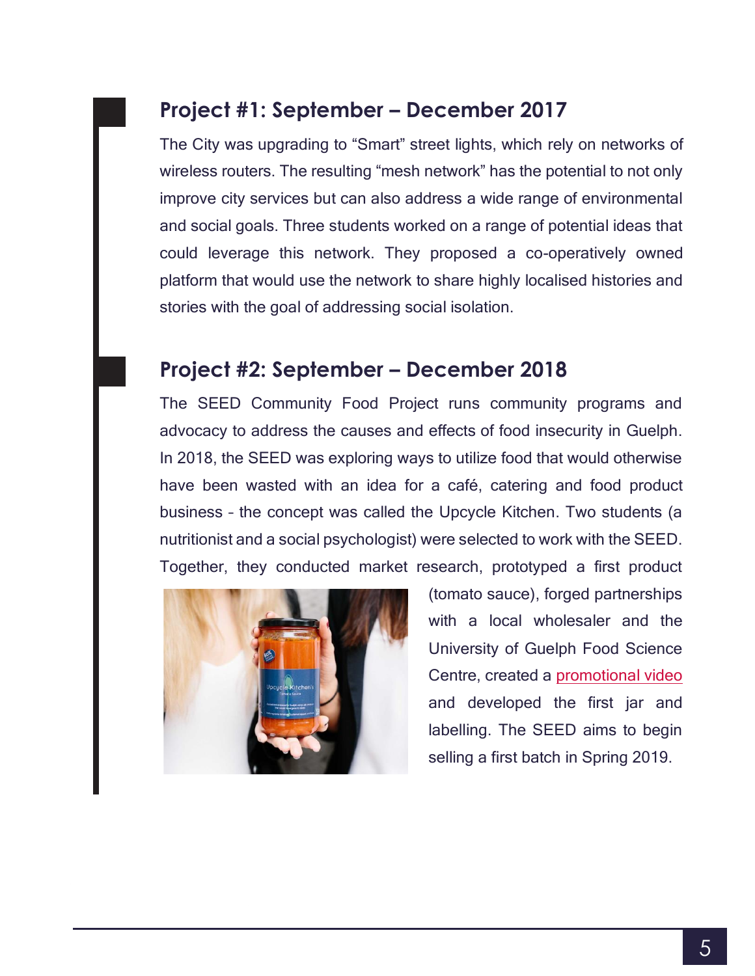#### <span id="page-4-0"></span>**Project #1: September – December 2017**

The City was upgrading to "Smart" street lights, which rely on networks of wireless routers. The resulting "mesh network" has the potential to not only improve city services but can also address a wide range of environmental and social goals. Three students worked on a range of potential ideas that could leverage this network. They proposed a co-operatively owned platform that would use the network to share highly localised histories and stories with the goal of addressing social isolation.

#### <span id="page-4-1"></span>**Project #2: September – December 2018**

The SEED Community Food Project runs community programs and advocacy to address the causes and effects of food insecurity in Guelph. In 2018, the SEED was exploring ways to utilize food that would otherwise have been wasted with an idea for a café, catering and food product business – the concept was called the Upcycle Kitchen. Two students (a nutritionist and a social psychologist) were selected to work with the SEED. Together, they conducted market research, prototyped a first product



(tomato sauce), forged partnerships with a local wholesaler and the University of Guelph Food Science Centre, created a [promotional video](https://www.youtube.com/watch?v=mX0krxPIL7k) and developed the first jar and labelling. The SEED aims to begin selling a first batch in Spring 2019.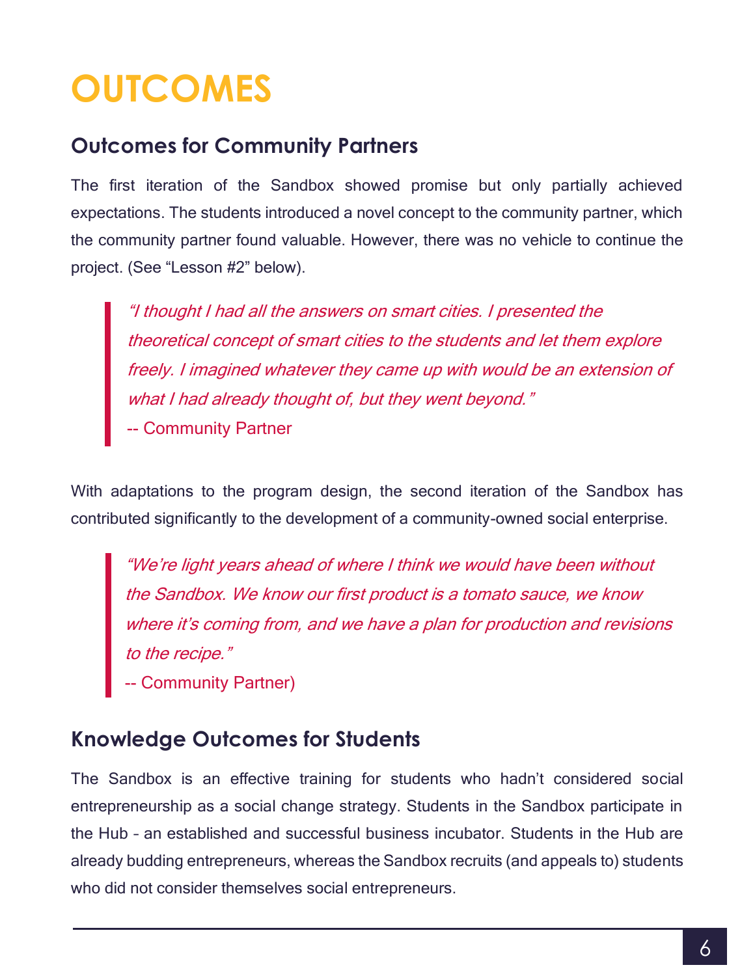## <span id="page-5-0"></span>**OUTCOMES**

#### <span id="page-5-1"></span>**Outcomes for Community Partners**

The first iteration of the Sandbox showed promise but only partially achieved expectations. The students introduced a novel concept to the community partner, which the community partner found valuable. However, there was no vehicle to continue the project. (See "Lesson #2" below).

"I thought I had all the answers on smart cities. I presented the theoretical concept of smart cities to the students and let them explore freely. I imagined whatever they came up with would be an extension of what I had already thought of, but they went beyond." -- Community Partner

With adaptations to the program design, the second iteration of the Sandbox has contributed significantly to the development of a community-owned social enterprise.

"We're light years ahead of where I think we would have been without the Sandbox. We know our first product is a tomato sauce, we know where it's coming from, and we have a plan for production and revisions to the recipe."

-- Community Partner)

#### <span id="page-5-2"></span>**Knowledge Outcomes for Students**

The Sandbox is an effective training for students who hadn't considered social entrepreneurship as a social change strategy. Students in the Sandbox participate in the Hub – an established and successful business incubator. Students in the Hub are already budding entrepreneurs, whereas the Sandbox recruits (and appeals to) students who did not consider themselves social entrepreneurs.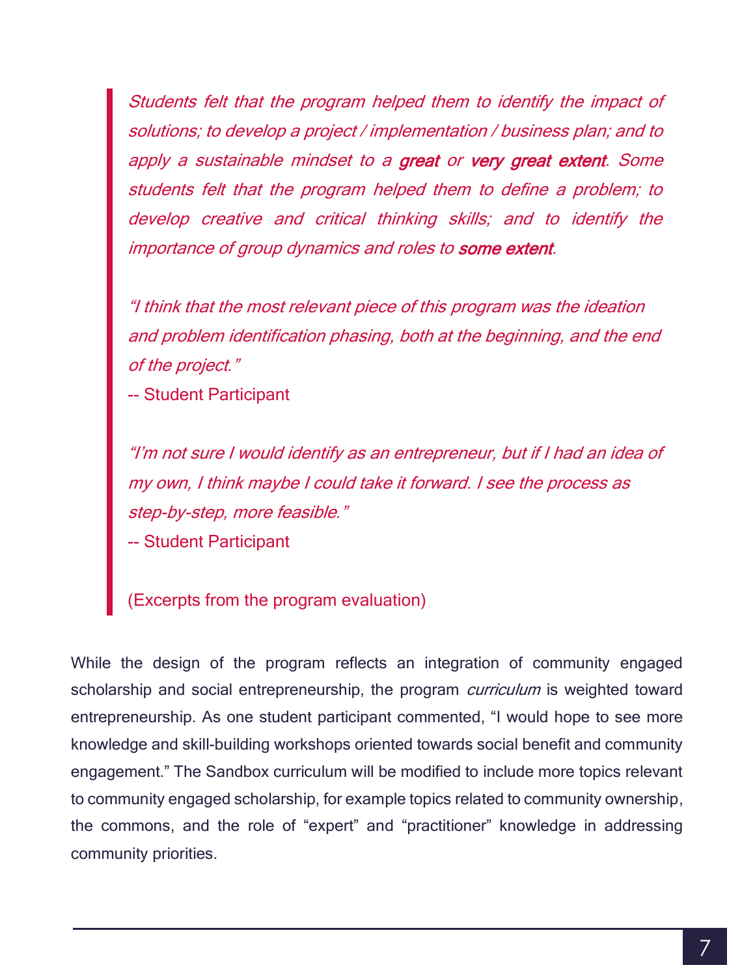Students felt that the program helped them to identify the impact of solutions; to develop a project / implementation / business plan; and to apply a sustainable mindset to a great or very great extent. Some students felt that the program helped them to define a problem; to develop creative and critical thinking skills; and to identify the importance of group dynamics and roles to some extent.

"I think that the most relevant piece of this program was the ideation and problem identification phasing, both at the beginning, and the end of the project."

-- Student Participant

"I'm not sure I would identify as an entrepreneur, but if I had an idea of my own, I think maybe I could take it forward. I see the process as step-by-step, more feasible."

-- Student Participant

(Excerpts from the program evaluation)

While the design of the program reflects an integration of community engaged scholarship and social entrepreneurship, the program *curriculum* is weighted toward entrepreneurship. As one student participant commented, "I would hope to see more knowledge and skill-building workshops oriented towards social benefit and community engagement." The Sandbox curriculum will be modified to include more topics relevant to community engaged scholarship, for example topics related to community ownership, the commons, and the role of "expert" and "practitioner" knowledge in addressing community priorities.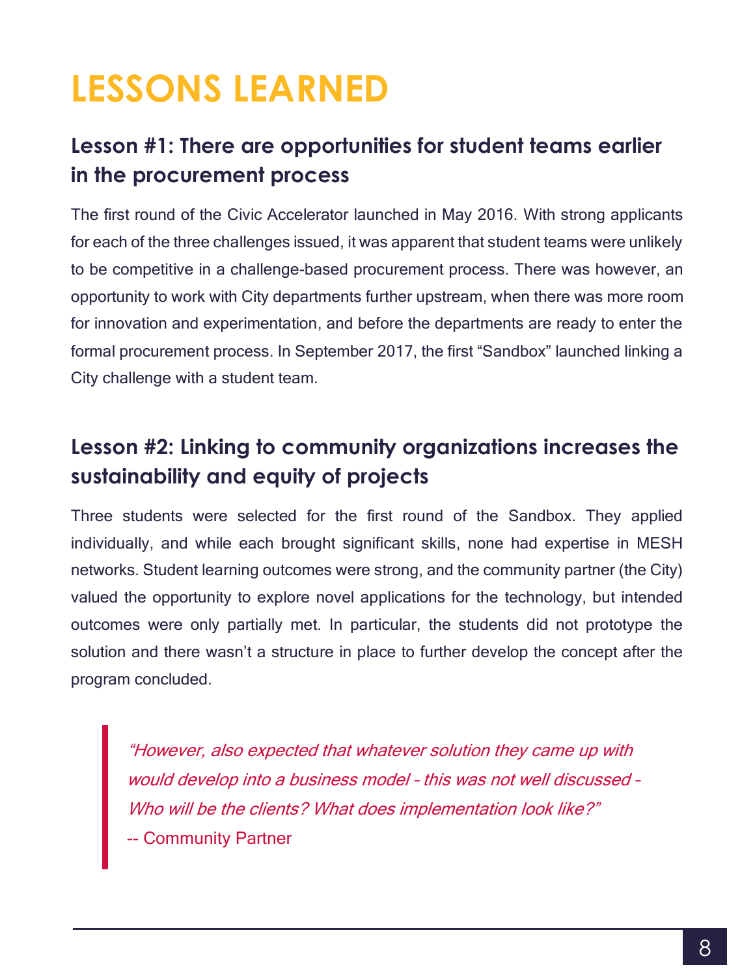# <span id="page-7-0"></span>**LESSONS LEARNED**

#### <span id="page-7-1"></span>**Lesson #1: There are opportunities for student teams earlier in the procurement process**

The first round of the Civic Accelerator launched in May 2016. With strong applicants for each of the three challenges issued, it was apparent that student teams were unlikely to be competitive in a challenge-based procurement process. There was however, an opportunity to work with City departments further upstream, when there was more room for innovation and experimentation, and before the departments are ready to enter the formal procurement process. In September 2017, the first "Sandbox" launched linking a City challenge with a student team.

#### <span id="page-7-2"></span>**Lesson #2: Linking to community organizations increases the sustainability and equity of projects**

Three students were selected for the first round of the Sandbox. They applied individually, and while each brought significant skills, none had expertise in MESH networks. Student learning outcomes were strong, and the community partner (the City) valued the opportunity to explore novel applications for the technology, but intended outcomes were only partially met. In particular, the students did not prototype the solution and there wasn't a structure in place to further develop the concept after the program concluded.

"However, also expected that whatever solution they came up with would develop into a business model – this was not well discussed – Who will be the clients? What does implementation look like?" -- Community Partner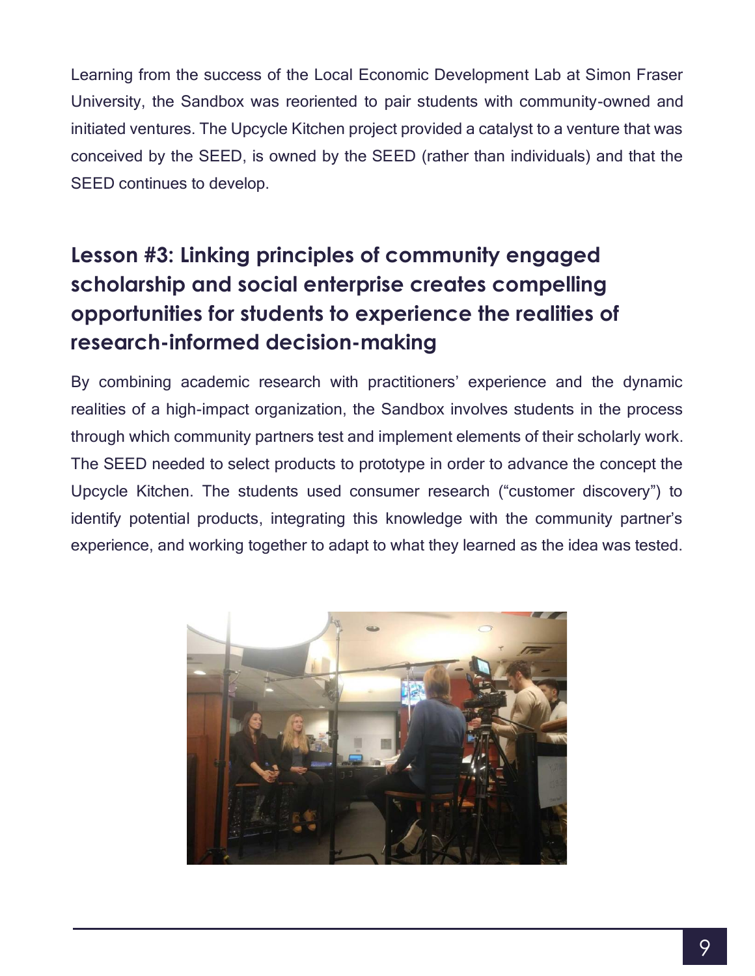Learning from the success of the Local Economic Development Lab at Simon Fraser University, the Sandbox was reoriented to pair students with community-owned and initiated ventures. The Upcycle Kitchen project provided a catalyst to a venture that was conceived by the SEED, is owned by the SEED (rather than individuals) and that the SEED continues to develop.

#### <span id="page-8-0"></span>**Lesson #3: Linking principles of community engaged scholarship and social enterprise creates compelling opportunities for students to experience the realities of research-informed decision-making**

By combining academic research with practitioners' experience and the dynamic realities of a high-impact organization, the Sandbox involves students in the process through which community partners test and implement elements of their scholarly work. The SEED needed to select products to prototype in order to advance the concept the Upcycle Kitchen. The students used consumer research ("customer discovery") to identify potential products, integrating this knowledge with the community partner's experience, and working together to adapt to what they learned as the idea was tested.

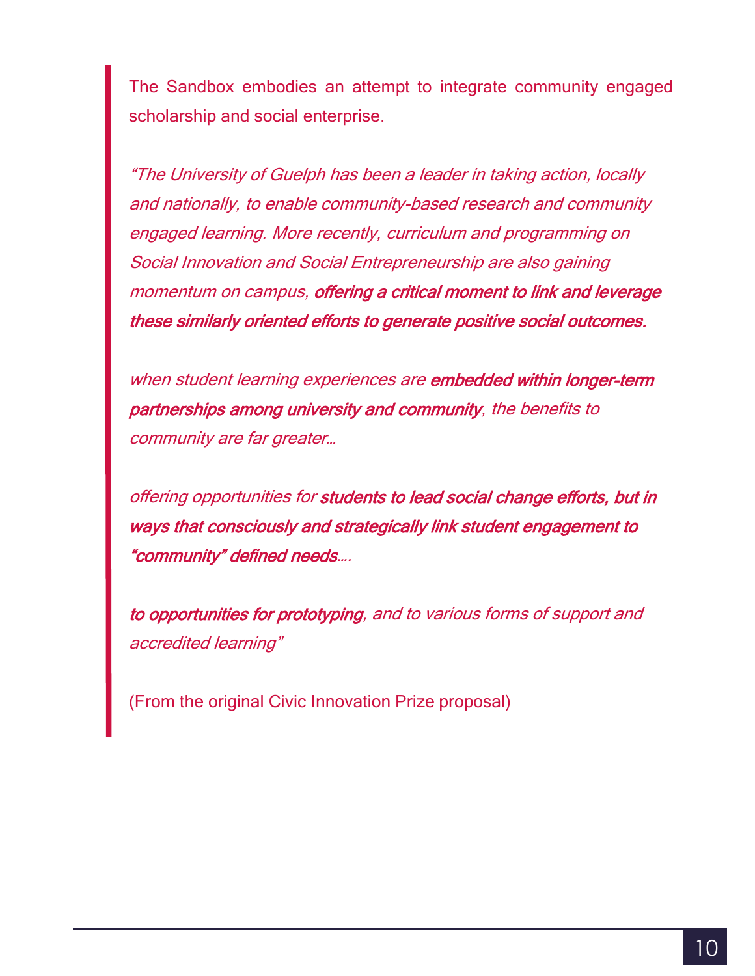The Sandbox embodies an attempt to integrate community engaged scholarship and social enterprise.

"The University of Guelph has been a leader in taking action, locally and nationally, to enable community-based research and community engaged learning. More recently, curriculum and programming on Social Innovation and Social Entrepreneurship are also gaining momentum on campus, offering a critical moment to link and leverage these similarly oriented efforts to generate positive social outcomes.

when student learning experiences are embedded within longer-term partnerships among university and community, the benefits to community are far greater…

offering opportunities for students to lead social change efforts, but in ways that consciously and strategically link student engagement to "community" defined needs….

to opportunities for prototyping, and to various forms of support and accredited learning"

(From the original Civic Innovation Prize proposal)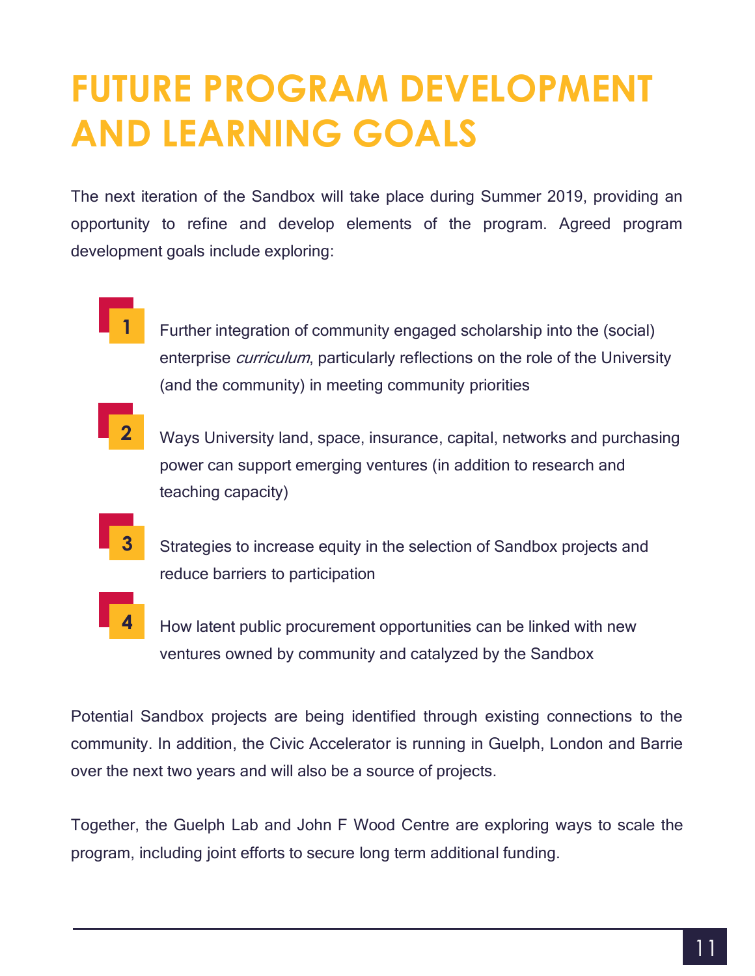### <span id="page-10-0"></span>**FUTURE PROGRAM DEVELOPMENT AND LEARNING GOALS**

The next iteration of the Sandbox will take place during Summer 2019, providing an opportunity to refine and develop elements of the program. Agreed program development goals include exploring:

- **1** Further integration of community engaged scholarship into the (social) enterprise *curriculum*, particularly reflections on the role of the University (and the community) in meeting community priorities
- **2** Ways University land, space, insurance, capital, networks and purchasing power can support emerging ventures (in addition to research and teaching capacity)
	- Strategies to increase equity in the selection of Sandbox projects and reduce barriers to participation

**3**

**4** How latent public procurement opportunities can be linked with new ventures owned by community and catalyzed by the Sandbox

Potential Sandbox projects are being identified through existing connections to the community. In addition, the Civic Accelerator is running in Guelph, London and Barrie over the next two years and will also be a source of projects.

Together, the Guelph Lab and John F Wood Centre are exploring ways to scale the program, including joint efforts to secure long term additional funding.